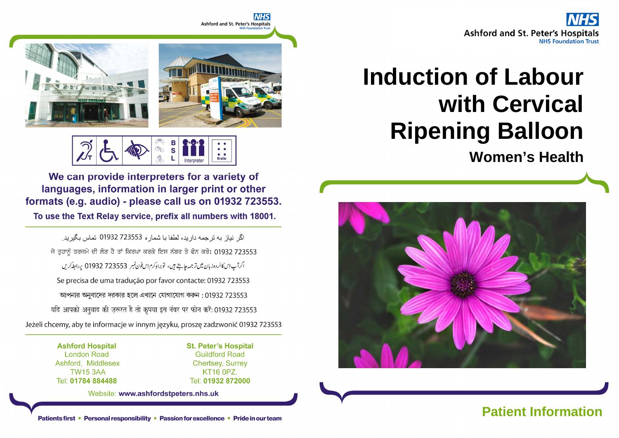

# **Induction of Labour with Cervical Ripening Balloon**

**Women's Health**





**Braille** 

We can provide interpreters for a variety of languages, information in larger print or other formats (e.g. audio) - please call us on 01932 723553.

To use the Text Relay service, prefix all numbers with 18001.

اگر نباز به تر جمه دار بد، لطفا با شمار ه 723553 01932 تماس بگیر بد. ਜੇ ਤੁਹਾਨੂੰ ਤਰਜਮੇ ਦੀ ਲੋੜ ਹੈ ਤਾਂ ਕਿਰਪਾ ਕਰਕੇ ਇਸ ਨੰਬਰ ਤੇ ਫੋਨ ਕਰੋ: 01932 723553 اگرآپ اِسکااُردوز بان میں تر جمہ جاہتے ہیں، توبراہِ کرم اِس فون نمبر 723553 01932 پر ابطہ کریں Se precisa de uma tradução por favor contacte: 01932 723553 আপনার অনুবাদের দরকার হলে এখানে যোগাযোগ করুন : 01932 723553 यदि आपको अनुवाद की ज़रूरत है तो कृपया इस नंबर पर फोन करें: 01932 723553 Jeżeli chcemy, aby te informacje w innym języku, proszę zadzwonić 01932 723553

> **Ashford Hospital London Road** Ashford, Middlesex **TW15 3AA** Tel: 01784 884488

**St. Peter's Hospital Guildford Road Chertsey, Surrey** KT16 0PZ. Tel: 01932 872000

Website: www.ashfordstpeters.nhs.uk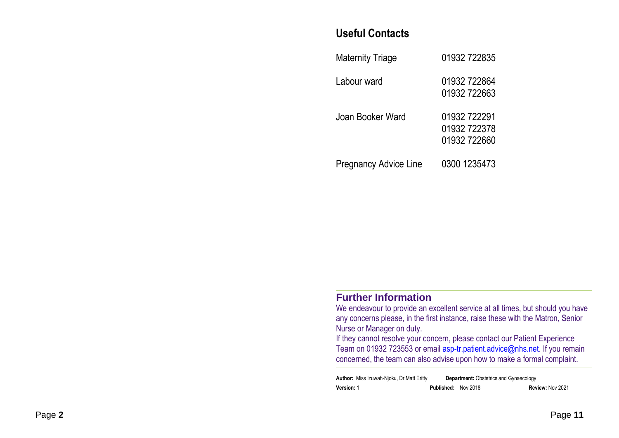#### **Useful Contacts**

| <b>Maternity Triage</b>      | 01932 722835                                 |
|------------------------------|----------------------------------------------|
| Labour ward                  | 01932 722864<br>01932 722663                 |
| Joan Booker Ward             | 01932 722291<br>01932 722378<br>01932 722660 |
| <b>Pregnancy Advice Line</b> | 0300 1235473                                 |

#### **Further Information**

 We endeavour to provide an excellent service at all times, but should you have any concerns please, in the first instance, raise these with the Matron, Senior Nurse or Manager on duty.

 If they cannot resolve your concern, please contact our Patient Experience Team on 01932 723553 or email **asp-tr.patient.advice@nhs.net**. If you remain concerned, the team can also advise upon how to make a formal complaint.

| <b>Author:</b> Miss Izuwah-Njoku, Dr Matt Eritty |                            | <b>Department:</b> Obstetrics and Gynaecology |                  |
|--------------------------------------------------|----------------------------|-----------------------------------------------|------------------|
| <b>Version: 1</b>                                | <b>Published: Nov 2018</b> |                                               | Review: Nov 2021 |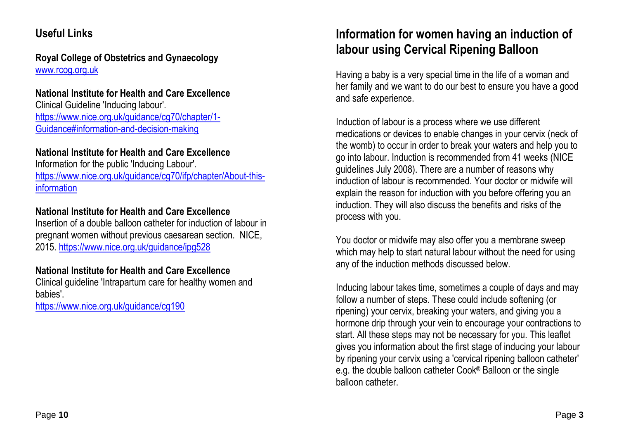# **Useful Links**

**Royal College of Obstetrics and Gynaecology** www.rcog.org.uk

#### **National Institute for Health and Care Excellence**

Clinical Guideline 'Inducing labour'. https://www.nice.org.uk/guidance/cg70/chapter/1-Guidance#information-and-decision-making

#### **National Institute for Health and Care Excellence**

Information for the public 'Inducing Labour'. https://www.nice.org.uk/guidance/cg70/ifp/chapter/About-thisinformation

#### **National Institute for Health and Care Excellence**

Insertion of a double balloon catheter for induction of labour in pregnant women without previous caesarean section. NICE, 2015. https://www.nice.org.uk/guidance/ipg528

#### **National Institute for Health and Care Excellence**

Clinical guideline 'Intrapartum care for healthy women and babies'.

https://www.nice.org.uk/guidance/cg190

# **Information for women having an induction of labour using Cervical Ripening Balloon**

Having a baby is a very special time in the life of a woman and her family and we want to do our best to ensure you have a good and safe experience.

Induction of labour is a process where we use different medications or devices to enable changes in your cervix (neck of the womb) to occur in order to break your waters and help you to go into labour. Induction is recommended from 41 weeks (NICE guidelines July 2008). There are a number of reasons why induction of labour is recommended. Your doctor or midwife will explain the reason for induction with you before offering you an induction. They will also discuss the benefits and risks of the process with you.

You doctor or midwife may also offer you a membrane sweep which may help to start natural labour without the need for using any of the induction methods discussed below.

Inducing labour takes time, sometimes a couple of days and may follow a number of steps. These could include softening (or ripening) your cervix, breaking your waters, and giving you a hormone drip through your vein to encourage your contractions to start. All these steps may not be necessary for you. This leaflet gives you information about the first stage of inducing your labour by ripening your cervix using a 'cervical ripening balloon catheter' e.g. the double balloon catheter Cook® Balloon or the single balloon catheter.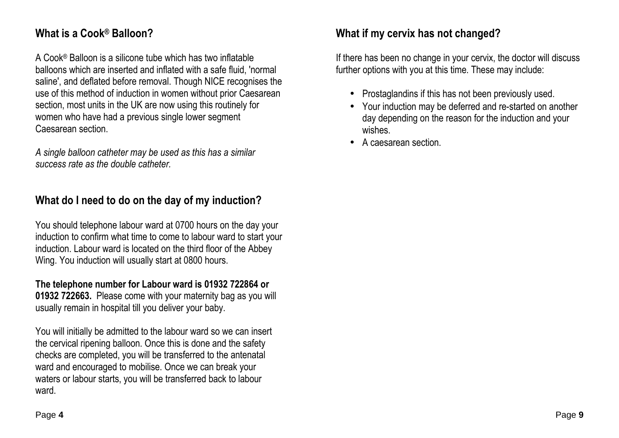# **What is a Cook® Balloon?**

A Cook® Balloon is a silicone tube which has two inflatable balloons which are inserted and inflated with a safe fluid, 'normal saline', and deflated before removal. Though NICE recognises the use of this method of induction in women without prior Caesarean section, most units in the UK are now using this routinely for women who have had a previous single lower segment Caesarean section.

*A single balloon catheter may be used as this has a similar success rate as the double catheter.* 

# **What do I need to do on the day of my induction?**

You should telephone labour ward at 0700 hours on the day your induction to confirm what time to come to labour ward to start your induction. Labour ward is located on the third floor of the Abbey Wing. You induction will usually start at 0800 hours.

**The telephone number for Labour ward is 01932 722864 or 01932 722663.** Please come with your maternity bag as you will usually remain in hospital till you deliver your baby.

You will initially be admitted to the labour ward so we can insert the cervical ripening balloon. Once this is done and the safety checks are completed, you will be transferred to the antenatal ward and encouraged to mobilise. Once we can break your waters or labour starts, you will be transferred back to labour ward.

# **What if my cervix has not changed?**

If there has been no change in your cervix, the doctor will discuss further options with you at this time. These may include:

- Prostaglandins if this has not been previously used.
- Your induction may be deferred and re-started on another day depending on the reason for the induction and your wishes.
- A caesarean section.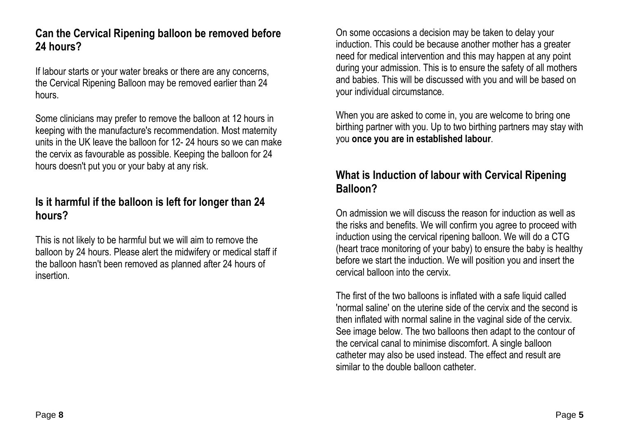#### **Can the Cervical Ripening balloon be removed before24 hours?**

If labour starts or your water breaks or there are any concerns, the Cervical Ripening Balloon may be removed earlier than 24 hours.

Some clinicians may prefer to remove the balloon at 12 hours in keeping with the manufacture's recommendation. Most maternity units in the UK leave the balloon for 12- 24 hours so we can make the cervix as favourable as possible. Keeping the balloon for 24 hours doesn't put you or your baby at any risk.

#### **Is it harmful if the balloon is left for longer than 24 hours?**

This is not likely to be harmful but we will aim to remove the balloon by 24 hours. Please alert the midwifery or medical staff if the balloon hasn't been removed as planned after 24 hours of insertion.

On some occasions a decision may be taken to delay your induction. This could be because another mother has a greater need for medical intervention and this may happen at any point during your admission. This is to ensure the safety of all mothers and babies. This will be discussed with you and will be based on your individual circumstance.

When you are asked to come in, you are welcome to bring one birthing partner with you. Up to two birthing partners may stay with you **once you are in established labour**.

#### **What is Induction of labour with Cervical Ripening Balloon?**

On admission we will discuss the reason for induction as well as the risks and benefits. We will confirm you agree to proceed with induction using the cervical ripening balloon. We will do a CTG (heart trace monitoring of your baby) to ensure the baby is healthy before we start the induction. We will position you and insert the cervical balloon into the cervix.

The first of the two balloons is inflated with a safe liquid called 'normal saline' on the uterine side of the cervix and the second is then inflated with normal saline in the vaginal side of the cervix. See image below. The two balloons then adapt to the contour of the cervical canal to minimise discomfort. A single balloon catheter may also be used instead. The effect and result are similar to the double balloon catheter.